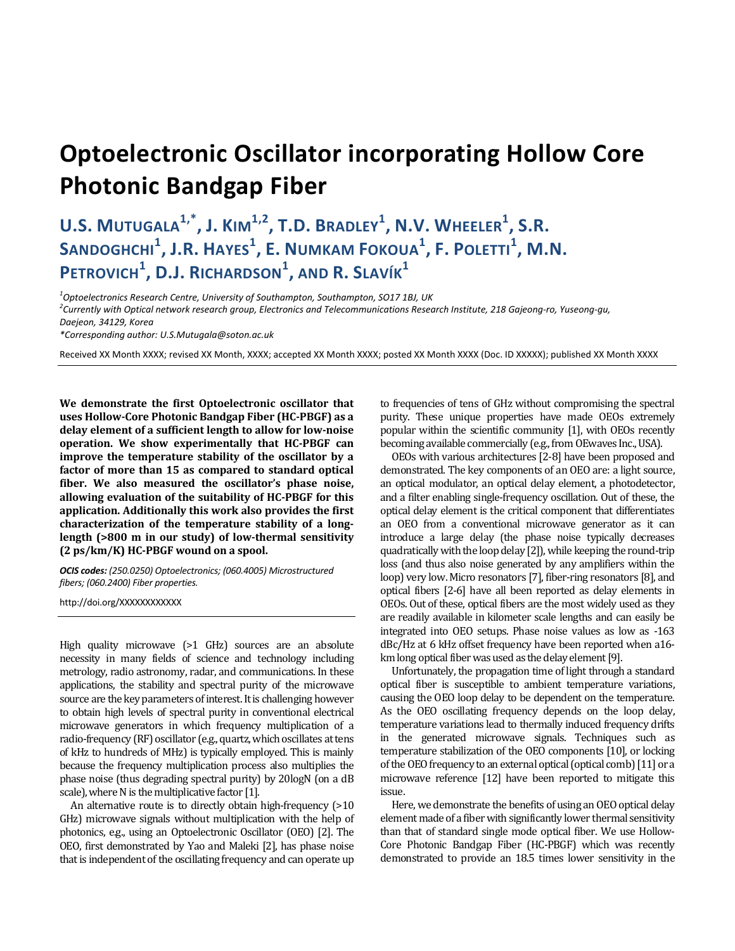## **Optoelectronic Oscillator incorporating Hollow Core Photonic Bandgap Fiber**

## **U.S. MUTUGALA1,\* , J. KIM1,2 , T.D. BRADLEY<sup>1</sup> , N.V. WHEELER<sup>1</sup> , S.R. SANDOGHCHI<sup>1</sup> , J.R. HAYES<sup>1</sup> , E. NUMKAM FOKOUA<sup>1</sup> , F. POLETTI<sup>1</sup> , M.N. PETROVICH<sup>1</sup> , D.J. RICHARDSON<sup>1</sup> , AND R. SLAVÍK<sup>1</sup>**

<sup>1</sup><br>Optoelectronics Research Centre, University of Southampton, Southampton, SO17 1BJ, UK<br><sup>2</sup>Currently with Optical natwork research aroun. Flectronics and Telecommunications Resea *Currently with Optical network research group, Electronics and Telecommunications Research Institute, 218 Gajeong-ro, Yuseong-gu, Daejeon, 34129, Korea* 

*\*Corresponding author: U.S.Mutugala@soton.ac.uk* 

Received XX Month XXXX; revised XX Month, XXXX; accepted XX Month XXXX; posted XX Month XXXX (Doc. ID XXXXX); published XX Month XXXX

**We demonstrate the first Optoelectronic oscillator that uses Hollow-Core Photonic Bandgap Fiber (HC-PBGF) as a delay element of a sufficient length to allow for low-noise operation. We show experimentally that HC-PBGF can improve the temperature stability of the oscillator by a factor of more than 15 as compared to standard optical fiber. We also measured the oscillator's phase noise, allowing evaluation of the suitability of HC-PBGF for this application. Additionally this work also provides the first characterization of the temperature stability of a longlength (>800 m in our study) of low-thermal sensitivity (2 ps/km/K) HC-PBGF wound on a spool.** 

*OCIS codes: (250.0250) Optoelectronics; (060.4005) Microstructured fibers; (060.2400) Fiber properties.* 

http://doi.org/XXXXXXXXXXXX

High quality microwave (>1 GHz) sources are an absolute necessity in many fields of science and technology including metrology, radio astronomy, radar, and communications. In these applications, the stability and spectral purity of the microwave source are the key parameters of interest. It is challenging however to obtain high levels of spectral purity in conventional electrical microwave generators in which frequency multiplication of a radio-frequency (RF) oscillator (e.g., quartz, which oscillates at tens of kHz to hundreds of MHz) is typically employed. This is mainly because the frequency multiplication process also multiplies the phase noise (thus degrading spectral purity) by 20logN (on a dB scale), where N is the multiplicative factor [1].

An alternative route is to directly obtain high-frequency (>10 GHz) microwave signals without multiplication with the help of photonics, e.g., using an Optoelectronic Oscillator (OEO) [2]. The OEO, first demonstrated by Yao and Maleki [2], has phase noise that is independent of the oscillating frequency and can operate up to frequencies of tens of GHz without compromising the spectral purity. These unique properties have made OEOs extremely popular within the scientific community [1], with OEOs recently becoming available commercially (e.g., from OEwaves Inc., USA).

OEOs with various architectures [2-8] have been proposed and demonstrated. The key components of an OEO are: a light source, an optical modulator, an optical delay element, a photodetector, and a filter enabling single-frequency oscillation. Out of these, the optical delay element is the critical component that differentiates an OEO from a conventional microwave generator as it can introduce a large delay (the phase noise typically decreases quadratically with the loop delay [2]), while keeping the round-trip loss (and thus also noise generated by any amplifiers within the loop) very low. Micro resonators [7], fiber-ring resonators [8], and optical fibers [2-6] have all been reported as delay elements in OEOs. Out of these, optical fibers are the most widely used as they are readily available in kilometer scale lengths and can easily be integrated into OEO setups. Phase noise values as low as -163 dBc/Hz at 6 kHz offset frequency have been reported when a16 km long optical fiber was used as the delay element [9].

Unfortunately, the propagation time of light through a standard optical fiber is susceptible to ambient temperature variations, causing the OEO loop delay to be dependent on the temperature. As the OEO oscillating frequency depends on the loop delay, temperature variations lead to thermally induced frequency drifts in the generated microwave signals. Techniques such as temperature stabilization of the OEO components [10], or locking of the OEO frequency to an external optical (optical comb) [11] or a microwave reference [12] have been reported to mitigate this issue.

Here, we demonstrate the benefits of using an OEO optical delay element made of a fiber with significantly lower thermal sensitivity than that of standard single mode optical fiber. We use Hollow-Core Photonic Bandgap Fiber (HC-PBGF) which was recently demonstrated to provide an 18.5 times lower sensitivity in the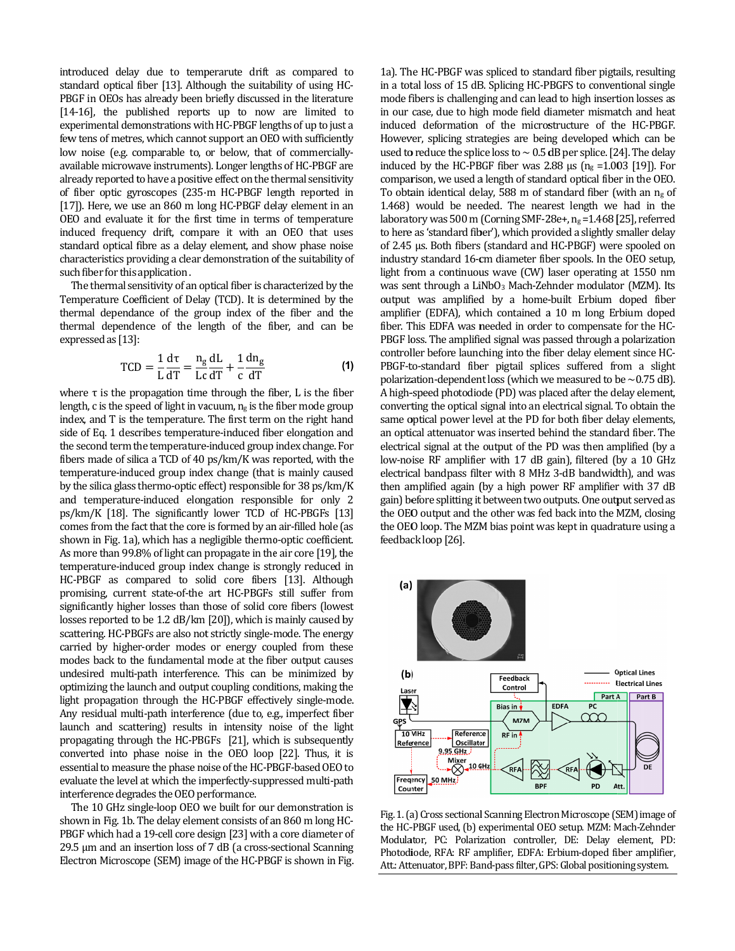introduced delay due to temperarute drift as compared to standard optical fiber [13]. Although the suitability of using HC-PBGF in OEOs has already been briefly discussed in the literature [14-16], the published reports up to now are limited to experimental demonstrations with HC-PBGF lengths of up to just a few tens of metres, which cannot support an OEO with sufficiently low noise (e.g. comparable to, or below, that of commerciallyavailable microwave instruments). Longer lengths of HC-PBGF are already reported to have a positive effect on the thermal sensitivity of fiber optic gyroscopes (235-m HC-PBGF length reported in [17]). Here, we use an 860 m long HC-PBGF delay element in an OEO and evaluate it for the first time in terms of temperature induced frequency drift, compare it with an OEO that uses standard optical fibre as a delay element, and show phase noise characteristics providing a clear demonstration of the suitability of such fiber for this application.

The thermal sensitivity of an optical fiber is characterized by the Temperature Coefficient of Delay (TCD). It is determined by the thermal dependance of the group index of the fiber and the thermal dependence of the length of the fiber, and can be expressed as [13]:

$$
TCD = \frac{1}{L} \frac{d\tau}{dT} = \frac{n_g}{Lc} \frac{dL}{dT} + \frac{1}{c} \frac{dn_g}{dT}
$$
 (1)

where  $\tau$  is the propagation time through the fiber, L is the fiber length, c is the speed of light in vacuum,  $n_g$  is the fiber mode group index, and T is the temperature. The first term on the right hand side of Eq. 1 describes temperature-induced fiber elongation and the second term the temperature-induced group index change. For fibers made of silica a TCD of 40 ps/km/K was reported, with the temperature-induced group index change (that is mainly caused by the silica glass thermo-optic effect) responsible for 38 ps/km/K and temperature-induced elongation responsible for only 2 ps/km/K [18]. The significantly lower TCD of HC-PBGFs [13] comes from the fact that the core is formed by an air-filled hole (as shown in Fig. 1a), which has a negligible thermo-optic coefficient. As more than 99.8% of light can propagate in the air core [19], the temperature-induced group index change is strongly reduced in HC-PBGF as compared to solid core fibers [13]. Although promising, current state-of-the art HC-PBGFs still suffer from significantly higher losses than those of solid core fibers (lowest losses reported to be 1.2 dB/km [20]), which is mainly caused by scattering. HC-PBGFs are also not strictly single-mode. The energy carried by higher-order modes or energy coupled from these modes back to the fundamental mode at the fiber output causes undesired multi-path interference. This can be minimized by optimizing the launch and output coupling conditions, making the light propagation through the HC-PBGF effectively single-mode. Any residual multi-path interference (due to, e.g., imperfect fiber launch and scattering) results in intensity noise of the light propagating through the HC-PBGFs [21], which is subsequently converted into phase noise in the OEO loop [22]. Thus, it is essential to measure the phase noise of the HC-PBGF-based OEO to evaluate the level at which the imperfectly-suppressed multi-path interference degrades the OEO performance.

The 10 GHz single-loop OEO we built for our demonstration is shown in Fig. 1b. The delay element consists of an 860 m long HC-PBGF which had a 19-cell core design [23] with a core diameter of 29.5 µm and an insertion loss of 7 dB (a cross-sectional Scanning Electron Microscope (SEM) image of the HC-PBGF is shown in Fig.

1a). The HC-PBGF was spliced to standard fiber pigtails, resulting in a total loss of 15 dB. Splicing HC-PBGFS to conventional single mode fibers is challenging and can lead to high insertion losses as in our case, due to high mode field diameter mismatch and heat induced deformation of the microstructure of the HC-PBGF. However, splicing strategies are being developed which can be used to reduce the splice loss to  $\sim$  0.5 dB per splice. [24]. The delay induced by the HC-PBGF fiber was 2.88  $\mu$ s (ng = 1.003 [19]). For comparison, we used a length of standard optical fiber in the OEO. To obtain identical delay, 588 m of standard fiber (with an  $n<sub>g</sub>$  of 1.468) would be needed. The nearest length we had in the laboratory was 500 m (Corning SMF-28e+,  $n_g$  =1.468 [25], referred to here as 'standard fiber'), which provided a slightly smaller delay of 2.45 µs. Both fibers (standard and HC-PBGF) were spooled on industry standard 16-cm diameter fiber spools. In the OEO setup, light from a continuous wave (CW) laser operating at 1550 nm was sent through a LiNbO<sub>3</sub> Mach-Zehnder modulator (MZM). Its output was amplified by a home-built Erbium doped fiber amplifier (EDFA), which contained a 10 m long Erbium doped fiber. This EDFA was needed in order to compensate for the HC-PBGF loss. The amplified signal was passed through a polarization controller before launching into the fiber delay element since HC-PBGF-to-standard fiber pigtail splices suffered from a slight polarization-dependent loss (which we measured to be  $\sim$  0.75 dB). A high-speed photodiode (PD) was placed after the delay element, converting the optical signal into an electrical signal. To obtain the same optical power level at the PD for both fiber delay elements, an optical attenuator was inserted behind the standard fiber. The electrical signal at the output of the PD was then amplified (by a low-noise RF amplifier with 17 dB gain), filtered (by a 10 GHz electrical bandpass filter with 8 MHz 3-dB bandwidth), and was then amplified again (by a high power RF amplifier with 37 dB gain) before splitting it between two outputs. One output served as the OEO output and the other was fed back into the MZM, closing the OEO loop. The MZM bias point was kept in quadrature using a feedback loop [26].



Fig. 1. (a) Cross sectional Scanning Electron Microscope (SEM) image of the HC-PBGF used, (b) experimental OEO setup. MZM: Mach-Zehnder Modulator, PC: Polarization controller, DE: Delay element, PD: Photodiode, RFA: RF amplifier, EDFA: Erbium-doped fiber amplifier, Att.: Attenuator, BPF: Band-pass filter, GPS: Global positioning system.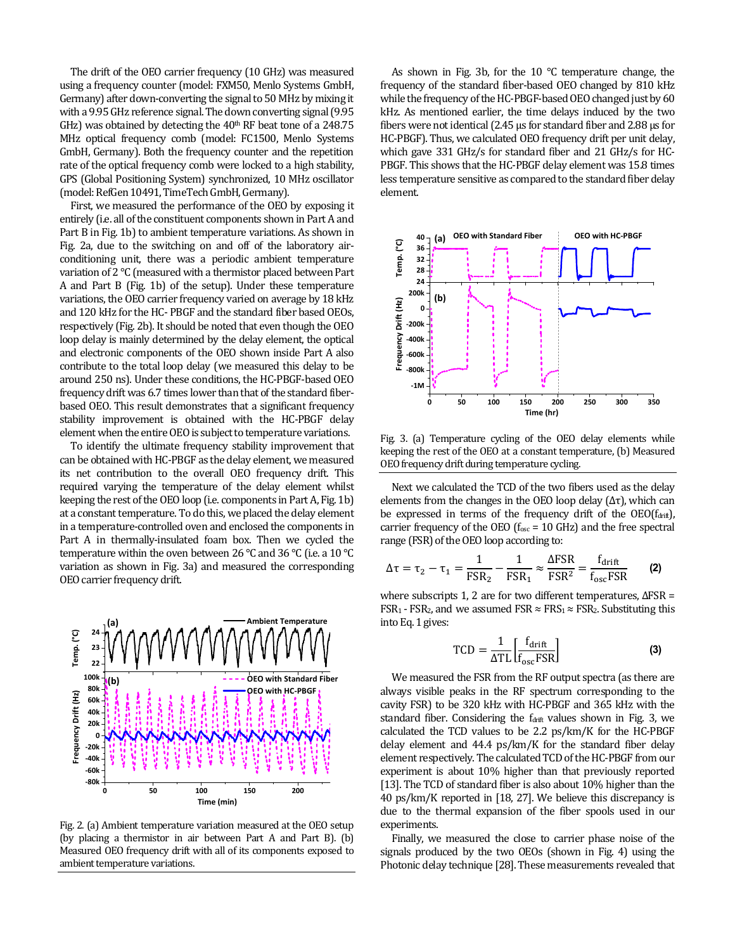The drift of the OEO carrier frequency (10 GHz) was measured using a frequency counter (model: FXM50, Menlo Systems GmbH, Germany) after down-converting the signal to 50 MHz by mixing it with a 9.95 GHz reference signal. The down converting signal (9.95 GHz) was obtained by detecting the  $40<sup>th</sup>$  RF beat tone of a 248.75 MHz optical frequency comb (model: FC1500, Menlo Systems GmbH, Germany). Both the frequency counter and the repetition rate of the optical frequency comb were locked to a high stability, GPS (Global Positioning System) synchronized, 10 MHz oscillator (model: RefGen 10491, TimeTech GmbH, Germany).

First, we measured the performance of the OEO by exposing it entirely (i.e. all of the constituent components shown in Part A and Part B in Fig. 1b) to ambient temperature variations. As shown in Fig. 2a, due to the switching on and off of the laboratory airconditioning unit, there was a periodic ambient temperature variation of 2 °C (measured with a thermistor placed between Part A and Part B (Fig. 1b) of the setup). Under these temperature variations, the OEO carrier frequency varied on average by 18 kHz and 120 kHz for the HC- PBGF and the standard fiber based OEOs, respectively (Fig. 2b). It should be noted that even though the OEO loop delay is mainly determined by the delay element, the optical and electronic components of the OEO shown inside Part A also contribute to the total loop delay (we measured this delay to be around 250 ns). Under these conditions, the HC-PBGF-based OEO frequency drift was 6.7 times lower than that of the standard fiberbased OEO. This result demonstrates that a significant frequency stability improvement is obtained with the HC-PBGF delay element when the entire OEO is subject to temperature variations.

To identify the ultimate frequency stability improvement that can be obtained with HC-PBGF as the delay element, we measured its net contribution to the overall OEO frequency drift. This required varying the temperature of the delay element whilst keeping the rest of the OEO loop (i.e. components in Part A, Fig. 1b) at a constant temperature. To do this, we placed the delay element in a temperature-controlled oven and enclosed the components in Part A in thermally-insulated foam box. Then we cycled the temperature within the oven between 26 °C and 36 °C (i.e. a 10 °C variation as shown in Fig. 3a) and measured the corresponding OEO carrier frequency drift.



Fig. 2. (a) Ambient temperature variation measured at the OEO setup (by placing a thermistor in air between Part A and Part B). (b) Measured OEO frequency drift with all of its components exposed to ambient temperature variations.

As shown in Fig. 3b, for the 10 °C temperature change, the frequency of the standard fiber-based OEO changed by 810 kHz while the frequency of the HC-PBGF-based OEO changed just by 60 kHz. As mentioned earlier, the time delays induced by the two fibers were not identical (2.45 µs for standard fiber and 2.88 µs for HC-PBGF). Thus, we calculated OEO frequency drift per unit delay, which gave 331 GHz/s for standard fiber and 21 GHz/s for HC-PBGF. This shows that the HC-PBGF delay element was 15.8 times less temperature sensitive as compared to the standard fiber delay element.



Fig. 3. (a) Temperature cycling of the OEO delay elements while keeping the rest of the OEO at a constant temperature, (b) Measured OEO frequency drift during temperature cycling.

Next we calculated the TCD of the two fibers used as the delay elements from the changes in the OEO loop delay  $(Δτ)$ , which can be expressed in terms of the frequency drift of the  $\rm{OEO(f_{drift})}$ , carrier frequency of the OEO ( $f_{osc}$  = 10 GHz) and the free spectral range (FSR) of the OEO loop according to:

$$
\Delta \tau = \tau_2 - \tau_1 = \frac{1}{\text{FSR}_2} - \frac{1}{\text{FSR}_1} \approx \frac{\Delta \text{FSR}}{\text{FSR}^2} = \frac{f_{\text{drift}}}{f_{\text{osc}} \text{FSR}} \tag{2}
$$

where subscripts 1, 2 are for two different temperatures, ΔFSR = FSR<sub>1</sub> - FSR<sub>2</sub>, and we assumed FSR  $\approx$  FRS<sub>1</sub> $\approx$  FSR<sub>2</sub>. Substituting this into Eq. 1 gives:

$$
TCD = \frac{1}{\Delta TL} \left[ \frac{f_{\text{drift}}}{f_{\text{osc}}FSR} \right]
$$
 (3)

We measured the FSR from the RF output spectra (as there are always visible peaks in the RF spectrum corresponding to the cavity FSR) to be 320 kHz with HC-PBGF and 365 kHz with the standard fiber. Considering the f<sub>drift</sub> values shown in Fig. 3, we calculated the TCD values to be 2.2 ps/km/K for the HC-PBGF delay element and 44.4 ps/km/K for the standard fiber delay element respectively. The calculated TCD of the HC-PBGF from our experiment is about 10% higher than that previously reported [13]. The TCD of standard fiber is also about 10% higher than the 40 ps/km/K reported in [18, 27]. We believe this discrepancy is due to the thermal expansion of the fiber spools used in our experiments.

Finally, we measured the close to carrier phase noise of the signals produced by the two OEOs (shown in Fig. 4) using the Photonic delay technique [28]. These measurements revealed that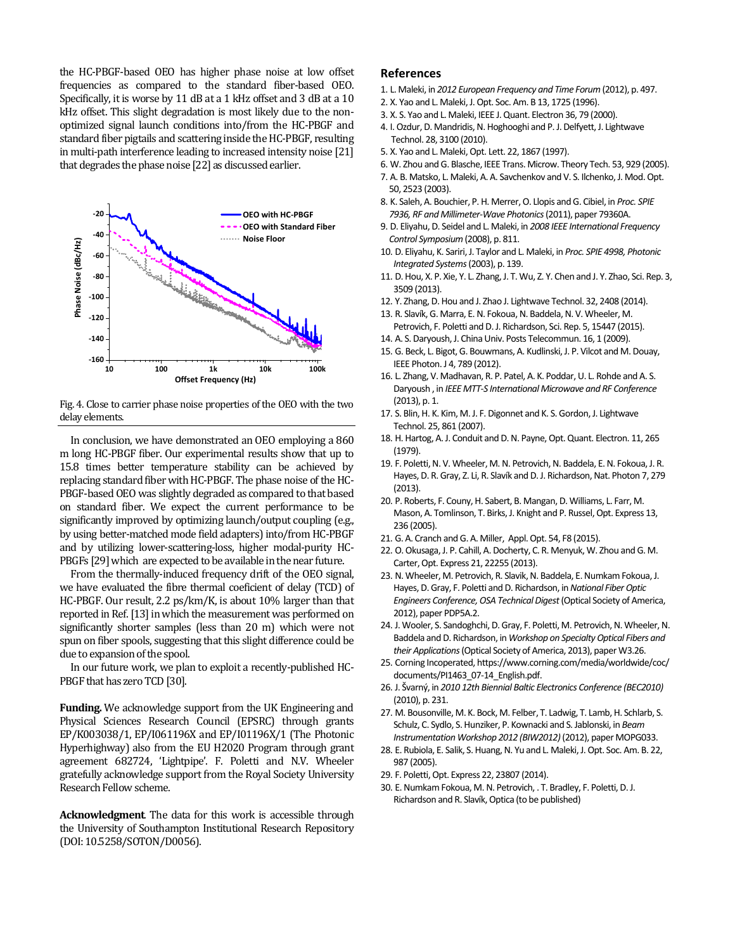the HC-PBGF-based OEO has higher phase noise at low offset frequencies as compared to the standard fiber-based OEO. Specifically, it is worse by 11 dB at a 1 kHz offset and 3 dB at a 10 kHz offset. This slight degradation is most likely due to the nonoptimized signal launch conditions into/from the HC-PBGF and standard fiber pigtails and scattering inside the HC-PBGF, resulting in multi-path interference leading to increased intensity noise [21] that degrades the phase noise [22] as discussed earlier.



Fig. 4. Close to carrier phase noise properties of the OEO with the two delay elements.

In conclusion, we have demonstrated an OEO employing a 860 m long HC-PBGF fiber. Our experimental results show that up to 15.8 times better temperature stability can be achieved by replacing standard fiber with HC-PBGF. The phase noise of the HC-PBGF-based OEO was slightly degraded as compared to that based on standard fiber. We expect the current performance to be significantly improved by optimizing launch/output coupling (e.g., by using better-matched mode field adapters) into/from HC-PBGF and by utilizing lower-scattering-loss, higher modal-purity HC-PBGFs [29] which are expected to be available in the near future.

From the thermally-induced frequency drift of the OEO signal, we have evaluated the fibre thermal coeficient of delay (TCD) of HC-PBGF. Our result, 2.2 ps/km/K, is about 10% larger than that reported in Ref. [13] in which the measurement was performed on significantly shorter samples (less than 20 m) which were not spun on fiber spools, suggesting that this slight difference could be due to expansion of the spool.

In our future work, we plan to exploit a recently-published HC-PBGF that has zero TCD [30].

**Funding.** We acknowledge support from the UK Engineering and Physical Sciences Research Council (EPSRC) through grants EP/K003038/1, EP/I061196X and EP/I01196X/1 (The Photonic Hyperhighway) also from the EU H2020 Program through grant agreement 682724, 'Lightpipe'. F. Poletti and N.V. Wheeler gratefully acknowledge support from the Royal Society University Research Fellow scheme.

**Acknowledgment**. The data for this work is accessible through the University of Southampton Institutional Research Repository (DOI: 10.5258/SOTON/D0056).

## **References**

- 1. L. Maleki, in *2012 European Frequency and Time Forum* (2012), p. 497.
- 2. X. Yao and L. Maleki, J. Opt. Soc. Am. B 13, 1725 (1996).
- 3. X. S. Yao and L. Maleki, IEEE J. Quant. Electron 36, 79 (2000).
- 4. I. Ozdur, D. Mandridis, N. Hoghooghi and P. J. Delfyett, J. Lightwave Technol. 28, 3100 (2010).
- 5. X. Yao and L. Maleki, Opt. Lett. 22, 1867 (1997).
- 6. W. Zhou and G. Blasche, IEEE Trans. Microw. Theory Tech. 53, 929 (2005).
- 7. A. B. Matsko, L. Maleki, A. A. Savchenkov and V. S. Ilchenko, J. Mod. Opt. 50, 2523 (2003).
- 8. K. Saleh, A. Bouchier, P. H. Merrer, O. Llopis and G. Cibiel, in *Proc. SPIE 7936, RF and Millimeter-Wave Photonics* (2011), paper 79360A.
- 9. D. Eliyahu, D. Seidel and L. Maleki, in *2008 IEEE International Frequency Control Symposium* (2008), p. 811.
- 10. D. Eliyahu, K. Sariri, J. Taylor and L. Maleki, in *Proc. SPIE 4998, Photonic Integrated Systems* (2003), p. 139.
- 11. D. Hou, X. P. Xie, Y. L. Zhang, J. T. Wu, Z. Y. Chen and J. Y. Zhao, Sci. Rep. 3, 3509 (2013).
- 12. Y. Zhang, D. Hou and J. Zhao J. Lightwave Technol. 32, 2408 (2014).
- 13. R. Slavík, G. Marra, E. N. Fokoua, N. Baddela, N. V. Wheeler, M. Petrovich, F. Poletti and D. J. Richardson, Sci. Rep. 5, 15447 (2015).
- 14. A. S. Daryoush, J. China Univ. Posts Telecommun. 16, 1 (2009).
- 15. G. Beck, L. Bigot, G. Bouwmans, A. Kudlinski, J. P. Vilcot and M. Douay, IEEE Photon. J 4, 789 (2012).
- 16. L. Zhang, V. Madhavan, R. P. Patel, A. K. Poddar, U. L. Rohde and A. S. Daryoush , in *IEEE MTT-S International Microwave and RF Conference* (2013), p. 1.
- 17. S. Blin, H. K. Kim, M. J. F. Digonnet and K. S. Gordon, J. Lightwave Technol. 25, 861 (2007).
- 18. H. Hartog, A. J. Conduit and D. N. Payne, Opt. Quant. Electron. 11, 265 (1979).
- 19. F. Poletti, N. V. Wheeler, M. N. Petrovich, N. Baddela, E. N. Fokoua, J. R. Hayes, D. R. Gray, Z. Li, R. Slavík and D. J. Richardson, Nat. Photon 7, 279 (2013).
- 20. P. Roberts, F. Couny, H. Sabert, B. Mangan, D. Williams, L. Farr, M. Mason, A. Tomlinson, T. Birks, J. Knight and P. Russel, Opt. Express 13, 236 (2005).
- 21. G. A. Cranch and G. A. Miller, Appl. Opt. 54, F8 (2015).
- 22. O. Okusaga, J. P. Cahill, A. Docherty, C. R. Menyuk, W. Zhou and G. M. Carter, Opt. Express 21, 22255 (2013).
- 23. N. Wheeler, M. Petrovich, R. Slavik, N. Baddela, E. Numkam Fokoua, J. Hayes, D. Gray, F. Poletti and D. Richardson, in *National Fiber Optic Engineers Conference, OSA Technical Digest* (Optical Society of America, 2012), paper PDP5A.2.
- 24. J. Wooler, S. Sandoghchi, D. Gray, F. Poletti, M. Petrovich, N. Wheeler, N. Baddela and D. Richardson, in *Workshop on Specialty Optical Fibers and their Applications* (Optical Society of America, 2013), paper W3.26.
- 25. Corning Incoperated, https://www.corning.com/media/worldwide/coc/ documents/PI1463\_07-14\_English.pdf.
- 26. J. Švarný, in *2010 12th Biennial Baltic Electronics Conference (BEC2010)* (2010), p. 231.
- 27. M. Bousonville, M. K. Bock, M. Felber, T. Ladwig, T. Lamb, H. Schlarb, S. Schulz, C. Sydlo, S. Hunziker, P. Kownacki and S. Jablonski, in *Beam Instrumentation Workshop 2012 (BIW2012)* (2012), paper MOPG033.
- 28. E. Rubiola, E. Salik, S. Huang, N. Yu and L. Maleki, J. Opt. Soc. Am. B. 22, 987 (2005).
- 29. F. Poletti, Opt. Express 22, 23807 (2014).
- 30. E. Numkam Fokoua, M. N. Petrovich, . T. Bradley, F. Poletti, D. J. Richardson and R. Slavík, Optica (to be published)